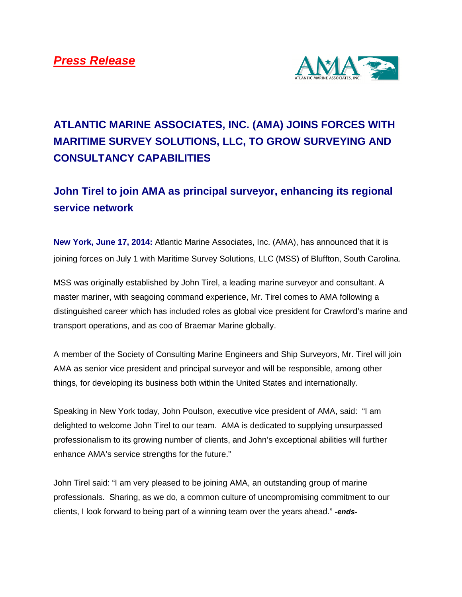

# **ATLANTIC MARINE ASSOCIATES, INC. (AMA) JOINS FORCES WITH MARITIME SURVEY SOLUTIONS, LLC, TO GROW SURVEYING AND CONSULTANCY CAPABILITIES**

## **John Tirel to join AMA as principal surveyor, enhancing its regional service network**

**New York, June 17, 2014:** Atlantic Marine Associates, Inc. (AMA), has announced that it is joining forces on July 1 with Maritime Survey Solutions, LLC (MSS) of Bluffton, South Carolina.

MSS was originally established by John Tirel, a leading marine surveyor and consultant. A master mariner, with seagoing command experience, Mr. Tirel comes to AMA following a distinguished career which has included roles as global vice president for Crawford's marine and transport operations, and as coo of Braemar Marine globally.

A member of the Society of Consulting Marine Engineers and Ship Surveyors, Mr. Tirel will join AMA as senior vice president and principal surveyor and will be responsible, among other things, for developing its business both within the United States and internationally.

Speaking in New York today, John Poulson, executive vice president of AMA, said: "I am delighted to welcome John Tirel to our team. AMA is dedicated to supplying unsurpassed professionalism to its growing number of clients, and John's exceptional abilities will further enhance AMA's service strengths for the future."

John Tirel said: "I am very pleased to be joining AMA, an outstanding group of marine professionals. Sharing, as we do, a common culture of uncompromising commitment to our clients, I look forward to being part of a winning team over the years ahead." *-ends-*